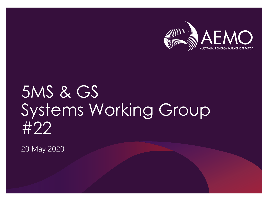

## 5MS & GS Systems Working Group #22

20 May 2020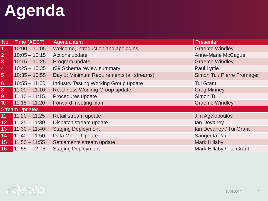# **Agenda**

| <b>No</b>       | Time (AEST)           | Agenda item                                  | <b>Presenter</b>           |
|-----------------|-----------------------|----------------------------------------------|----------------------------|
|                 | $10:00 - 10:05$       | Welcome, introduction and apologies          | <b>Graeme Windley</b>      |
| $\overline{2}$  | $10:05 - 10:15$       | Actions update                               | <b>Anne-Marie McCague</b>  |
| 3               | $10:15 - 10:25$       | Program update                               | <b>Graeme Windley</b>      |
| 4               | $10:25 - 10:35$       | r39 Schema review summary                    | Paul Lyttle                |
| $\overline{5}$  | $10:35 - 10:55$       | Day 1: Minimum Requirements (all streams)    | Simon Tu / Pierre Fromager |
| 6               | $10:55 - 11:00$       | <b>Industry Testing Working Group update</b> | <b>Tui Grant</b>           |
| 8               | $11:00 - 11:10$       | <b>Readiness Working Group update</b>        | <b>Greg Minney</b>         |
| 9               | $11:10 - 11:15$       | Procedures update                            | Simon Tu                   |
| 10              | $11:15 - 11:20$       | Forward meeting plan                         | <b>Graeme Windley</b>      |
|                 | <b>Stream Updates</b> |                                              |                            |
| 11              | $11:20 - 11:25$       | Retail stream update                         | Jim Agelopoulos            |
| 12 <sup>°</sup> | $11:25 - 11:30$       | Dispatch stream update                       | Ian Devaney                |
| 13 <sup>°</sup> | $11:30 - 11:40$       | <b>Staging Deployment</b>                    | Ian Devaney / Tui Grant    |
| 14 <sup>°</sup> | $11:40 - 11:50$       | Data Model Update                            | Sangeeta Pai               |
| 15 <sup>°</sup> | $11:50 - 11:55$       | Settlements stream update                    | <b>Mark Hillaby</b>        |
| 16 <sup>°</sup> | $11:55 - 12:05$       | <b>Staging Deployment</b>                    | Mark Hillaby / Tui Grant   |

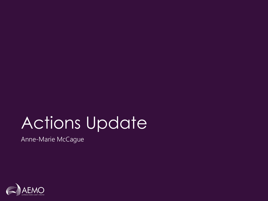# Actions Update

Anne-Marie McCague

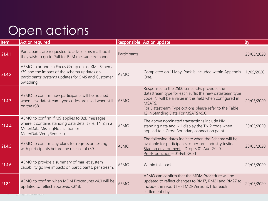### Open actions

| <b>Item</b> | <b>Action required</b>                                                                                                                                                   |              | Responsible Action update                                                                                                                                                                                                                                                      | By         |
|-------------|--------------------------------------------------------------------------------------------------------------------------------------------------------------------------|--------------|--------------------------------------------------------------------------------------------------------------------------------------------------------------------------------------------------------------------------------------------------------------------------------|------------|
| 21.4.1      | Participants are requested to advise 5ms mailbox if<br>they wish to go to Pull for B2M message exchange.                                                                 | Participants |                                                                                                                                                                                                                                                                                | 20/05/2020 |
| 21.4.2      | AEMO to arrange a Focus Group on aseXML Schema<br>r39 and the impact of the schema updates on<br>participants' systems updates for 5MS and Customer<br>Switching.        | <b>AEMO</b>  | Completed on 11 May. Pack is included within Appendix<br>One.                                                                                                                                                                                                                  | 11/05/2020 |
| 21.4.3      | AEMO to confirm how participants will be notified<br>when new datastream type codes are used when still<br>on the r38.                                                   | <b>AEMO</b>  | Responses to the 2500 series CRs provides the<br>datastream type for each suffix the new datasteam type<br>code 'N' will be a value in this field when configured in<br>MSATS.<br>For Datastream Type options please refer to the Table<br>12 in Standing Data For MSATS v5.0. | 20/05/2020 |
| 21.4.4      | AEMO to confirm if r39 applies to B2B messages<br>where it contains standing data details (i.e. TNI2 in a<br>MeterData MissingNotification or<br>MeterDataVerifyRequest) | <b>AEMO</b>  | The above nominated transactions include NMI<br>standing data and will display the TNI2 code when<br>applied to a Cross Boundary connection point                                                                                                                              | 20/05/2020 |
| 21.4.5      | AEMO to confirm any plans for regression testing<br>with participants before the release of r39.                                                                         | <b>AEMO</b>  | The following dates indicate when the Schema will be<br>available for participants to perform industry testing:<br>Staging environment - Drop 3 01-Aug-2020<br>Pre-Production - 01-Feb-2021                                                                                    | 20/05/2020 |
| 21.4.6      | AEMO to provide a summary of market system<br>capability go live impacts on participants, per stream.                                                                    | <b>AEMO</b>  | Within this pack                                                                                                                                                                                                                                                               | 20/05/2020 |
| 21.8.1      | AEMO to confirm when MDM Procedures v4.0 will be<br>updated to reflect approved CR18.                                                                                    | <b>AEMO</b>  | AEMO can confirm that the MDM Procedure will be<br>updated to reflect changes to RM17, RM21 and RM27 to<br>include the report field MDPVersionDT for each<br>settlement day                                                                                                    | 20/05/2020 |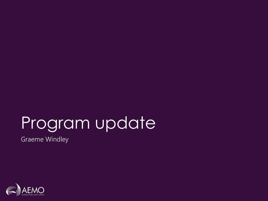## Program update

Graeme Windley

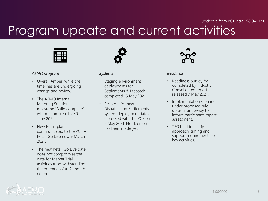#### Updated from PCF pack 28-04-2020

### Program update and current activities



#### *AEMO program*

- Overall Amber, while the timelines are undergoing change and review.
- The AFMO Internal Metering Solution milestone "Build complete" will not complete by 30 June 2020.
- New Retail plan communicated to the PCF – Retail Go Live now 9 March 2021.
- The new Retail Go Live date does not compromise the date for Market Trial activities (non-withstanding the potential of a 12-month deferral).

#### *Systems*

- Staging environment deployments for Settlements & Dispatch completed 15 May 2021.
- Proposal for new Dispatch and Settlements system deployment dates discussed with the PCF on 5 May 2021. No decision has been made yet.



#### *Readiness*

- Readiness Survey #2 completed by Industry. Consolidated report released 7 May 2021.
- Implementation scenario under proposed rule deferral underway to inform participant impact assessment.
- TFG held to clarify approach, timing and support requirements for key activities.

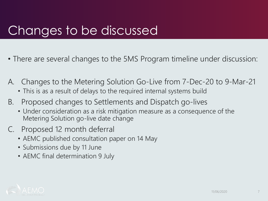### Changes to be discussed

- There are several changes to the 5MS Program timeline under discussion:
- A. Changes to the Metering Solution Go-Live from 7-Dec-20 to 9-Mar-21
	- This is as a result of delays to the required internal systems build
- B. Proposed changes to Settlements and Dispatch go-lives
	- Under consideration as a risk mitigation measure as a consequence of the Metering Solution go-live date change
- C. Proposed 12 month deferral
	- AEMC published consultation paper on 14 May
	- Submissions due by 11 June
	- AEMC final determination 9 July

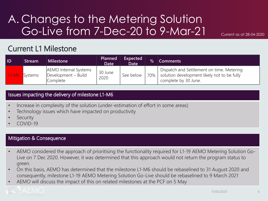### A. Changes to the Metering Solution Go-Live from 7-Dec-20 to 9-Mar-21

Current as at 28-04-2020

#### Current L1 Milestone

| ID                  | Stream  | <b>Milestone</b>                                                | Planned<br><b>Date</b> | Expected<br><b>Date</b> | $\%$      | <b>Comments</b>                                                                                                  |
|---------------------|---------|-----------------------------------------------------------------|------------------------|-------------------------|-----------|------------------------------------------------------------------------------------------------------------------|
| $\blacksquare$ 1-M6 | Systems | <b>AEMO</b> Internal Systems<br>Development - Build<br>Complete | 30 June<br>2020        | See below               | $170\%$ 1 | Dispatch and Settlement on time. Metering<br>solution development likely not to be fully<br>complete by 30 June. |

#### Issues impacting the delivery of milestone L1-M6

- Increase in complexity of the solution (under-estimation of effort in some areas)
- Technology issues which have impacted on productivity
- **Security**
- COVID-19

#### Mitigation & Consequence

- AEMO considered the approach of prioritising the functionality required for L1-19 AEMO Metering Solution Go-Live on 7 Dec 2020. However, it was determined that this approach would not return the program status to green.
- On this basis, AEMO has determined that the milestone L1-M6 should be rebaselined to 31 August 2020 and consequently, milestone L1-19 AEMO Metering Solution Go-Live should be rebaselined to 9 March 2021
- AEMO will discuss the impact of this on related milestones at the PCF on 5 May

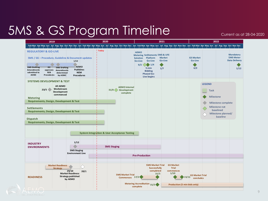### 5MS & GS Program Timeline

Current as at 28-04-2020

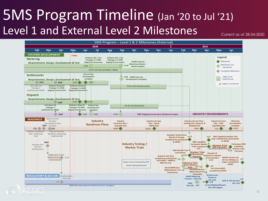### 5MS Program Timeline (Jan '20 to Jul '21) Level 1 and External Level 2 Milestones

Current as at 28-04-2020

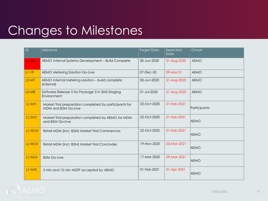### Changes to Milestones

| ID                   | Milestone                                                                     | <b>Target Date</b> | <b>Expected</b><br>Date | Owner        |
|----------------------|-------------------------------------------------------------------------------|--------------------|-------------------------|--------------|
| $L1-M6$              | AEMO Internal Systems Development - Build Complete                            | 30-Jun-2020        | 31-Aug-2020             | <b>AEMO</b>  |
| $L1-19$              | AEMO Metering Solution Go-Live                                                | 07-Dec-20          | $09-Mar-21$             | <b>AEMO</b>  |
| $L2-M7$              | AEMO internal metering solution - build complete<br>(internal)                | 30-Jun-2020        | 31-Aug-2020             | <b>AEMO</b>  |
| $L2-M8$              | Software Release 3 for Package 3 in 5MS Staging<br>Environment                | 31-Jul-2020        | 31-Aug-2020             | <b>AEMO</b>  |
| $L2-M11$             | Market Trial preparation completed by participants for<br>MDM and B2M Go-Live | 22-Oct-2020        | 01-Feb-2021             | Participants |
| $L2-M12$             | Market Trial preparation completed by AEMO for MDM<br>and B2M Go-Live         | 22-Oct-2020        | 01-Feb-2021             | <b>AEMO</b>  |
| <b>L2-RE29</b>       | Retail MDM (incl. B2M) Market Trial Commences                                 | 22-Oct-2020        | 01-Feb-2021             | <b>AEMO</b>  |
| L <sub>2</sub> -RE30 | Retail MDM (incl. B2M) Market Trial Concludes                                 | 19-Nov-2020        | 03-Mar-2021             | <b>AEMO</b>  |
| $L2-M24$             | <b>B2M Go-Live</b>                                                            | 17-Mar-2020        | 09-Mar-2021             | <b>AEMO</b>  |
| $L2-M10$             | 5 min and 15 min MDFF accepted by AEMO                                        | 01-Feb-2021        | 01-Apr-2021             | <b>AEMO</b>  |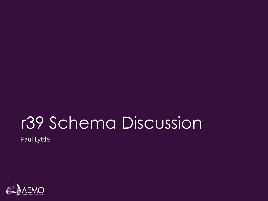# r39 Schema Discussion

Paul Lyttle

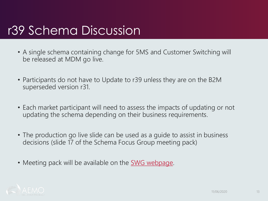### r39 Schema Discussion

- A single schema containing change for 5MS and Customer Switching will be released at MDM go live.
- Participants do not have to Update to r39 unless they are on the B2M superseded version r31.
- Each market participant will need to assess the impacts of updating or not updating the schema depending on their business requirements.
- The production go live slide can be used as a guide to assist in business decisions (slide 17 of the Schema Focus Group meeting pack)
- Meeting pack will be available on the **SWG webpage**.

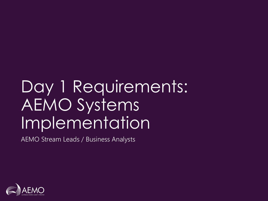# Day 1 Requirements: AEMO Systems Implementation

AEMO Stream Leads / Business Analysts

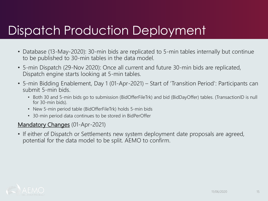### Dispatch Production Deployment

- Database (13-May-2020): 30-min bids are replicated to 5-min tables internally but continue to be published to 30-min tables in the data model.
- 5-min Dispatch (29-Nov 2020): Once all current and future 30-min bids are replicated, Dispatch engine starts looking at 5-min tables.
- 5-min Bidding Enablement, Day 1 (01-Apr-2021) Start of 'Transition Period': Participants can submit 5-min bids.
	- Both 30 and 5-min bids go to submission (BidOfferFileTrk) and bid (BidDayOffer) tables. (TransactionID is null for 30-min bids).
	- New 5-min period table (BidOfferFileTrk) holds 5-min bids
	- 30-min period data continues to be stored in BidPerOffer

#### Mandatory Changes (01-Apr-2021)

• If either of Dispatch or Settlements new system deployment date proposals are agreed, potential for the data model to be split. AEMO to confirm.

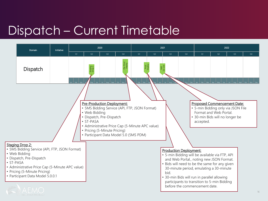### Dispatch – Current Timetable

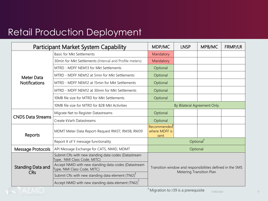### Retail Production Deployment

|                          | <b>Participant Market System Capability</b>                                         | MDP/MC                                                                                | <b>LNSP</b> | MPB/MC | <b>FRMP/LR</b> |  |
|--------------------------|-------------------------------------------------------------------------------------|---------------------------------------------------------------------------------------|-------------|--------|----------------|--|
|                          | <b>Basic for Mkt Settlements</b>                                                    | Mandatory                                                                             |             |        |                |  |
|                          | 30min for Mkt Settlements (Interval and Profile meters)                             | Mandatory                                                                             |             |        |                |  |
|                          | MTRD - MDFF NEM13 for Mkt Settlements                                               | Optional                                                                              |             |        |                |  |
| Meter Data               | MTRD - MDFF NEM12 at 5min for Mkt Settlements                                       | Optional                                                                              |             |        |                |  |
| <b>Notifications</b>     | MTRD - MDFF NEM12 at 15min for Mkt Settlements                                      | Optional                                                                              |             |        |                |  |
|                          | MTRD - MDFF NEM12 at 30min for Mkt Settlements                                      | Optional                                                                              |             |        |                |  |
|                          | 10MB file size for MTRD for Mkt Settlements                                         | Optional                                                                              |             |        |                |  |
|                          | 10MB file size for MTRD for B2B Mkt Activities                                      | By Bilateral Agreement Only                                                           |             |        |                |  |
| <b>CNDS Data Streams</b> | Migrate Net to Register Datastreams                                                 | Optional                                                                              |             |        |                |  |
|                          | Create kVarh Datastreams                                                            | Optional                                                                              |             |        |                |  |
| Reports                  | MDMT Meter Data Report-Request RM37, RM38, RM39                                     | Recommended<br>where MDFF is<br>sent                                                  |             |        |                |  |
|                          | Report X of Y message functionality                                                 | Optional <sup>1</sup>                                                                 |             |        |                |  |
| <b>Message Protocols</b> | API Message Exchange for CATS, NMID, MDMT                                           |                                                                                       | Optional    |        |                |  |
|                          | Submit CRs with new standing data codes (Datastream<br>Type, NMI Class Code, MITC)  |                                                                                       |             |        |                |  |
| <b>Standing Data and</b> | Accept NMID with new standing data codes (Datastream<br>Type, NMI Class Code, MITC) | Transition window and responsibilities defined in the 5MS<br>Metering Transition Plan |             |        |                |  |
| <b>CRs</b>               | Submit CRs with new standing data element (TNI2)'                                   |                                                                                       |             |        |                |  |
|                          | Accept NMID with new standing data element (TNI2)                                   |                                                                                       |             |        |                |  |

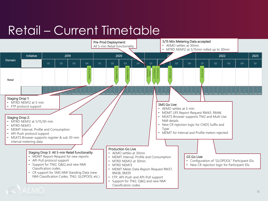### Retail – Current Timetable

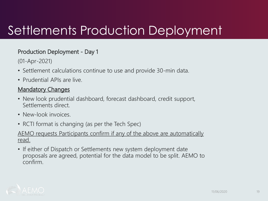### Settlements Production Deployment

#### Production Deployment - Day 1

(01-Apr-2021)

- Settlement calculations continue to use and provide 30-min data.
- Prudential APIs are live.

#### **Mandatory Changes**

- New look prudential dashboard, forecast dashboard, credit support, Settlements direct.
- New-look invoices.
- RCTI format is changing (as per the Tech Spec)

#### AEMO requests Participants confirm if any of the above are automatically read.

• If either of Dispatch or Settlements new system deployment date proposals are agreed, potential for the data model to be split. AEMO to confirm.

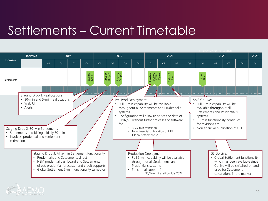### Settlements – Current Timetable

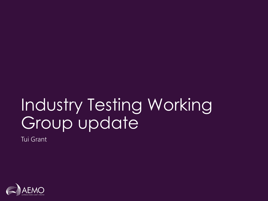# Industry Testing Working Group update

Tui Grant

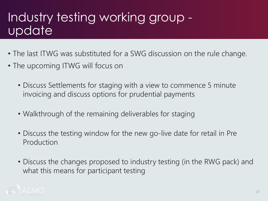### Industry testing working group update

- The last ITWG was substituted for a SWG discussion on the rule change.
- The upcoming ITWG will focus on
	- Discuss Settlements for staging with a view to commence 5 minute invoicing and discuss options for prudential payments
	- Walkthrough of the remaining deliverables for staging
	- Discuss the testing window for the new go-live date for retail in Pre Production
	- Discuss the changes proposed to industry testing (in the RWG pack) and what this means for participant testing

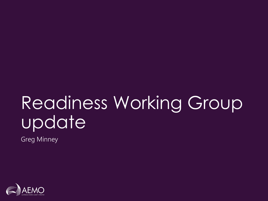# Readiness Working Group update

Greg Minney

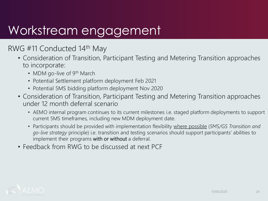### Workstream engagement

#### RWG #11 Conducted 14th May

- Consideration of Transition, Participant Testing and Metering Transition approaches to incorporate:
	- MDM go-live of 9<sup>th</sup> March
	- Potential Settlement platform deployment Feb 2021
	- Potential 5MS bidding platform deployment Nov 2020
- Consideration of Transition, Participant Testing and Metering Transition approaches under 12 month deferral scenario
	- AEMO internal program continues to its current milestones i.e. staged platform deployments to support current 5MS timeframes, including new MDM deployment date.
	- Participants should be provided with implementation flexibility where possible (*5MS/GS Transition and go-live strategy* principle) i.e. transition and testing scenarios should support participants' abilities to implement their programs with or without a deferral.
- Feedback from RWG to be discussed at next PCF

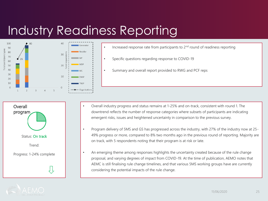### Industry Readiness Reporting



- Increased response rate from participants to 2<sup>nd</sup> round of readiness reporting
- Specific questions regarding response to COVID-19
- Summary and overall report provided to RWG and PCF reps

- Status: On track Trend: Progress: 1-24% complete **Overall** program
- Overall industry progress and status remains at 1-25% and on-track, consistent with round 1. The downtrend reflects the number of response categories where subsets of participants are indicating emergent risks, issues and heightened uncertainty in comparison to the previous survey.
- Program delivery of 5MS and GS has progressed across the industry, with 27% of the industry now at 25- 49% progress or more, compared to 8% two months ago in the previous round of reporting. Majority are on track, with 5 respondents noting that their program is at risk or late.
- An emerging theme among responses highlights the uncertainty created because of the rule change proposal, and varying degrees of impact from COVID-19. At the time of publication, AEMO notes that AEMC is still finalising rule change timelines, and that various 5MS working groups have are currently considering the potential impacts of the rule change.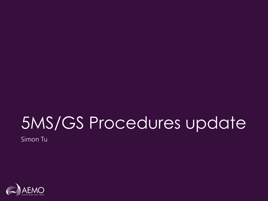# 5MS/GS Procedures update

Simon Tu

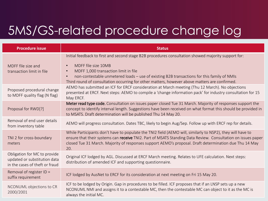### 5MS/GS-related procedure change log

| <b>Procedure issue</b>                                                                         | <b>Status</b>                                                                                                                                                                                                                                                                                                                                                                               |
|------------------------------------------------------------------------------------------------|---------------------------------------------------------------------------------------------------------------------------------------------------------------------------------------------------------------------------------------------------------------------------------------------------------------------------------------------------------------------------------------------|
| MDFF file size and<br>transaction limit in file                                                | Initial feedback to first and second stage B2B procedures consultation showed majority support for:<br>MDFF file size 10MB<br>$\bullet$<br>MDFF 1,000 transaction limit in file<br>$\bullet$<br>non-contestable unmetered loads - use of existing B2B transactions for this family of NMIs<br>Third round of consultation occurring for other matters, however above matters are confirmed. |
| Proposed procedural change<br>to MDFF quality flag (N flag)                                    | AEMO has submitted an ICF for ERCF consideration at March meeting (Thu 12 March). No objections<br>presented at ERCF. Next steps: AEMO to compile a 'change information pack' for industry consultation for 15<br>May ERCF.                                                                                                                                                                 |
| Proposal for RWD[?]                                                                            | Meter read type code. Consultation on issues paper closed Tue 31 March. Majority of responses support the<br>concept to identify interval length. Suggestions have been received on what format this should be provided in<br>to MSATS. Draft determination will be published Thu 14 May 20.                                                                                                |
| Removal of end user details<br>from inventory table                                            | AEMO will progress consultation. Dates TBC, likely to begin Aug/Sep. Follow up with ERCF rep for details.                                                                                                                                                                                                                                                                                   |
| TNI 2 for cross-boundary<br>meters                                                             | While Participants don't have to populate the TNI2 field (AEMO will, similarly to NSP2), they will have to<br>ensure that their systems can receive TNI2. Part of MSATS Standing Data Review. Consultation on issues paper<br>closed Tue 31 March. Majority of responses support AEMO's proposal. Draft determination due Thu 14 May<br>20.                                                 |
| Obligation for MC to provide<br>updated or substitution data<br>in the cases of theft or fraud | Original ICF lodged by AGL. Discussed at ERCF March meeting. Relates to UFE calculation. Next steps:<br>distribution of amended ICF and supporting questionnaire.                                                                                                                                                                                                                           |
| Removal of register ID =<br>suffix requirement                                                 | ICF lodged by AusNet to ERCF for its consideration at next meeting on Fri 15 May 20.                                                                                                                                                                                                                                                                                                        |
| NCONUML objections to CR<br>2000/2001                                                          | ICF to be lodged by Origin. Gap in procedures to be filled. ICF proposes that if an LNSP sets up a new<br>NCONUML NMI and assigns it to a contestable MC, then the contestable MC can object to it as the MC is<br>always the initial MC.                                                                                                                                                   |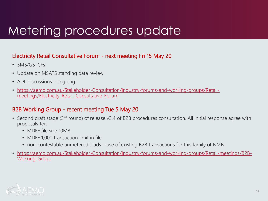### Metering procedures update

#### Electricity Retail Consultative Forum - next meeting Fri 15 May 20

- 5MS/GS ICFs
- Update on MSATS standing data review
- ADL discussions ongoing
- [https://aemo.com.au/Stakeholder-Consultation/Industry-forums-and-working-groups/Retail](https://aemo.com.au/Stakeholder-Consultation/Industry-forums-and-working-groups/Retail-meetings/Electricity-Retail-Consultative-Forum)meetings/Electricity-Retail-Consultative-Forum

#### B2B Working Group - recent meeting Tue 5 May 20

- Second draft stage (3<sup>rd</sup> round) of release v3.4 of B2B procedures consultation. All initial response agree with proposals for:
	- MDFF file size 10MB
	- MDFF 1,000 transaction limit in file
	- non-contestable unmetered loads use of existing B2B transactions for this family of NMIs
- [https://aemo.com.au/Stakeholder-Consultation/Industry-forums-and-working-groups/Retail-meetings/B2B-](https://aemo.com.au/Stakeholder-Consultation/Industry-forums-and-working-groups/Retail-meetings/B2B-Working-Group)Working-Group

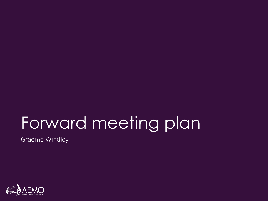# Forward meeting plan

Graeme Windley

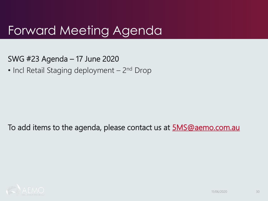### Forward Meeting Agenda

- SWG #23 Agenda 17 June 2020
- Incl Retail Staging deployment 2<sup>nd</sup> Drop

To add items to the agenda, please contact us at **[5MS@aemo.com.au](mailto:5MS@aemo.com.au)** 

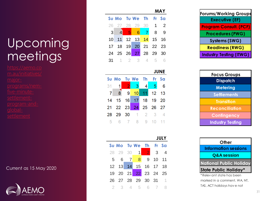#### **MAY**

|  |                            |  | Su Mo Tu We Th Fr Sa |  |  |  |
|--|----------------------------|--|----------------------|--|--|--|
|  | 26 27 28 29 30 1 2         |  |                      |  |  |  |
|  | 3 4 5 6 7 8 9              |  |                      |  |  |  |
|  | 10 11 12 13 14 15 16       |  |                      |  |  |  |
|  | 17 18 19 20 21 22 23       |  |                      |  |  |  |
|  | 24  25  26  27  28  29  30 |  |                      |  |  |  |
|  | <b>31</b> 1 2 3 4 5        |  |                      |  |  |  |

#### **JUNE**

|  |  | Su Mo Tu We Th Fr Sa |  |
|--|--|----------------------|--|
|  |  | 31 1 2 3 4 5 6       |  |
|  |  | 7 8 9 10 11 12 13    |  |
|  |  | 14 15 16 17 18 19 20 |  |
|  |  | 21 22 23 24 25 26 27 |  |
|  |  | 28 29 30 1 2 3 4     |  |
|  |  | 5 6 7 8 9 10 11      |  |

#### **JULY**

|  |  | Su Mo Tu We Th Fr Sa |                      |  |
|--|--|----------------------|----------------------|--|
|  |  |                      | 28 29 30 1 2 3 4     |  |
|  |  |                      | 5 6 7 8 9 10 11      |  |
|  |  |                      | 12 13 14 15 16 17 18 |  |
|  |  |                      | 19 20 21 22 23 24 25 |  |
|  |  |                      | 26 27 28 29 30 31 1  |  |
|  |  |                      | 2 3 4 5 6 7          |  |

| Forums/Working Groups          |
|--------------------------------|
| <b>Executive (EF)</b>          |
| <b>Program Consult. (PCF)</b>  |
| <b>Procedures (PWG)</b>        |
| Systems (SWG)                  |
| <b>Readiness (RWG)</b>         |
| <b>Industry Testing (ITWG)</b> |

| <b>Focus Groups</b>     |  |  |  |  |  |  |
|-------------------------|--|--|--|--|--|--|
| <b>Dispatch</b>         |  |  |  |  |  |  |
| <b>Metering</b>         |  |  |  |  |  |  |
| <b>Settlements</b>      |  |  |  |  |  |  |
| <b>Transition</b>       |  |  |  |  |  |  |
| <b>Reconciliation</b>   |  |  |  |  |  |  |
| Contingency             |  |  |  |  |  |  |
| <b>Industry Testing</b> |  |  |  |  |  |  |



marked in a comment. WA, NT, TAS, ACT holidays hav e not

### Upcoming meetings

five -minute -

Current as 15 May 2020

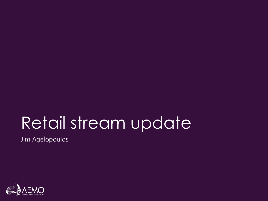## Retail stream update

Jim Agelopoulos

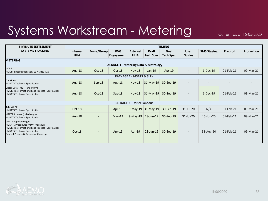### Systems Workstream - Metering

Current as at 15-05-2020

| <b>5 MINUTE SETTLEMENT</b>                                                                                                                                                                   |                         | <b>TIMING</b>            |                                                  |                                     |                                  |                                  |                              |                    |           |                   |
|----------------------------------------------------------------------------------------------------------------------------------------------------------------------------------------------|-------------------------|--------------------------|--------------------------------------------------|-------------------------------------|----------------------------------|----------------------------------|------------------------------|--------------------|-----------|-------------------|
| <b>SYSTEMS TRACKING</b>                                                                                                                                                                      | Internal<br><b>HLIA</b> | Focus/Group              | <b>SWG</b><br><b>Engagement</b>                  | <b>External</b><br><b>HLIA</b>      | <b>Draft</b><br><b>Tech Spec</b> | <b>Final</b><br><b>Tech Spec</b> | <b>User</b><br><b>Guides</b> | <b>5MS Staging</b> | Preprod   | <b>Production</b> |
| <b>METERING</b>                                                                                                                                                                              |                         |                          |                                                  |                                     |                                  |                                  |                              |                    |           |                   |
|                                                                                                                                                                                              |                         |                          | <b>PACKAGE 1 - Metering Data &amp; Metrology</b> |                                     |                                  |                                  |                              |                    |           |                   |
| <b>MDFF</b><br>• MDFF Specification NEM12 NEM13 v20                                                                                                                                          | Aug-18                  | Oct-18                   | Oct-18                                           | <b>Nov-18</b>                       | Jan-19                           | Apr-19                           |                              | $1-Dec-19$         | 01-Feb-21 | 09-Mar-21         |
|                                                                                                                                                                                              |                         |                          |                                                  | <b>PACKAGE 2 - MSATS &amp; SLPs</b> |                                  |                                  |                              |                    |           |                   |
| Transition<br>• MSATS Technical Specification                                                                                                                                                | Aug-18                  | $Sep-18$                 | Aug- $18$                                        | $Nov-18$                            | 31-May-19                        | 30-Sep-19                        |                              |                    |           |                   |
| Meter Data - MDFF and MDMF<br>• MDM File Format and Load Process (User Guide)<br>• MSATS Technical Specification                                                                             | Aug-18                  | Oct-18                   | $Sep-18$                                         | $Nov-18$                            | $31-May-19$                      | 30-Sep-19                        | $\sim$                       | $1-Dec-19$         | 01-Feb-21 | 09-Mar-21         |
|                                                                                                                                                                                              |                         |                          |                                                  | <b>PACKAGE 3 - Miscellaneous</b>    |                                  |                                  |                              |                    |           |                   |
| B <sub>2</sub> M via API<br>• MSATS Technical Specification                                                                                                                                  | Oct-18                  | $\overline{\phantom{a}}$ | Apr-19                                           |                                     | 9-May-19 31-May-19               | 30-Sep-19                        | 31-Jul-20                    | N/A                | 01-Feb-21 | 09-Mar-21         |
| MSATS Browser (LVI) changes<br>• MSATS Technical Specification                                                                                                                               | Aug-18                  | $\sim$                   | $May-19$                                         | $9-May-19$                          | 28-Jun-19                        | 30-Sep-19                        | 31-Jul-20                    | 15-Jun-20          | 01-Feb-21 | 09-Mar-21         |
| <b>MSATS Report changes</b><br>• MSATS Procedures MDM Procedure<br>• MDM File Format and Load Process (User Guide)<br>• MSATS Technical Specification<br>General Process & Document Clean-up | $Oct-18$                | $\qquad \qquad =$        | Apr-19                                           | Apr-19                              | 28-Jun-19                        | 30-Sep-19                        | $\overline{\phantom{a}}$     | 31-Aug-20          | 01-Feb-21 | 09-Mar-21         |

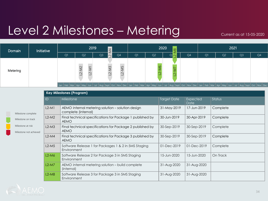### Level 2 Milestones – Metering

Current as at 15-05-2020

| Domain   | Initiative | 2019<br>2020<br>$\frac{1}{4}$<br>∣∞ୁ |                                    |                                                                                                                                                    | 2021                                    |    |                         |                 |    |    |                |                |    |
|----------|------------|--------------------------------------|------------------------------------|----------------------------------------------------------------------------------------------------------------------------------------------------|-----------------------------------------|----|-------------------------|-----------------|----|----|----------------|----------------|----|
|          |            | Q1                                   | Q <sub>2</sub>                     | $\overline{\mathbb{Z}}$<br>Q <sub>3</sub>                                                                                                          | Q4                                      | Q1 | Q <sub>2</sub>          | -<br>$Q_i \sim$ | Q4 | Q1 | Q <sub>2</sub> | Q <sub>3</sub> | Q4 |
| Metering |            |                                      | $\sim$<br>$\overline{C}$<br>$\sim$ | $\infty$                                                                                                                                           | L<br>$\leq$<br>$\tilde{\tau}$<br>$\sim$ |    | $\overline{\mathsf{e}}$ |                 |    |    |                |                |    |
|          |            |                                      |                                    | Jan Feb Mar Apr May Jun Jul Aug Sept Oct Nov Dec Jan Feb Mar Apr May Jun Jul Aug Sept Oct Nov Dec Jan Feb Mar Apr May Jun Jul Aug Sept Oct Nov Dec |                                         |    |                         |                 |    |    |                |                |    |

|                                             |         | <b>Key Milestones (Program)</b>                                          |                    |                  |          |
|---------------------------------------------|---------|--------------------------------------------------------------------------|--------------------|------------------|----------|
|                                             | ID      | Milestone                                                                | <b>Target Date</b> | Expected<br>Date | Status   |
| Milestone complete                          | $L2-M1$ | AEMO internal metering solution - solution design<br>complete (internal) | 31-May-2019        | 17-Jun-2019      | Complete |
| Milestone on track                          | $L2-M2$ | Final technical specifications for Package 1 published by<br><b>AEMO</b> | 30-Jun-2019        | 30-Apr-2019      | Complete |
| Milestone at risk<br>Milestone not achieved | $L2-M3$ | Final technical specifications for Package 2 published by<br><b>AEMO</b> | 30-Sep-2019        | 30-Sep-2019      | Complete |
|                                             | $L2-M4$ | Final technical specifications for Package 3 published by<br><b>AEMO</b> | 30-Sep-2019        | 30-Sep-2019      | Complete |
|                                             | $L2-M5$ | Software Release 1 for Packages 1 & 2 in 5MS Staging<br>Environment      | 01-Dec-2019        | 01-Dec-2019      | Complete |
|                                             | $L2-M6$ | Software Release 2 for Package 3 in 5MS Staging<br>Environment           | 15-Jun-2020        | 15-Jun-2020      | On Track |
|                                             | $L2-M7$ | AEMO internal metering solution - build complete<br>(internal)           | 31-Aug-2020        | 31-Aug-2020      |          |
|                                             | $L2-M8$ | Software Release 3 for Package 3 in 5MS Staging<br>Environment           | 31-Aug-2020        | 31-Aug-2020      |          |

 $\mathsf{M}$ 

 $\overline{\mathsf{M}}$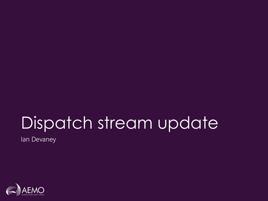# Dispatch stream update

Ian Devaney

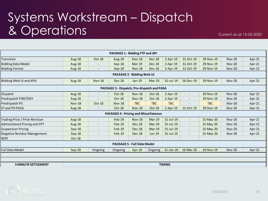### Systems Workstream – Dispatch & Operations

| Aug-18        | Oct-18                   | Aug-18        | <b>Nov-18</b> | <b>Dec-18</b> | $2-Apr-19$                                                                                                 | 31-Oct-19                                                                                                    | 29-Nov-19  | <b>Nov-20</b> | Apr-21 |
|---------------|--------------------------|---------------|---------------|---------------|------------------------------------------------------------------------------------------------------------|--------------------------------------------------------------------------------------------------------------|------------|---------------|--------|
| Aug-18        |                          | Sep-18        | $Mar-19$      | <b>Dec-18</b> | $2-Apr-19$                                                                                                 | 31-Oct-19                                                                                                    | 29-Nov-19  | <b>Nov-20</b> | Apr-21 |
| Aug-18        | $\overline{\phantom{a}}$ | $Sep-18$      | <b>Nov-18</b> | <b>Dec-18</b> | $2-Apr-19$                                                                                                 | 31-Oct-19                                                                                                    | 29-Nov-19  | <b>Nov-20</b> | Apr-21 |
|               |                          |               |               |               |                                                                                                            |                                                                                                              |            |               |        |
| Aug-18        | <b>Nov-18</b>            | <b>Dec-18</b> | $Jan-19$      | $Mar-19$      | $31$ -Jul-19                                                                                               | 16-Dec-19                                                                                                    | 29-Nov-19  | <b>Nov-20</b> | Apr-21 |
|               |                          |               |               |               |                                                                                                            |                                                                                                              |            |               |        |
| Aug-18        | $\overline{\phantom{a}}$ | Oct-18        | <b>Nov-18</b> | Oct-18        | $2$ -Apr-19                                                                                                | $\overline{\phantom{a}}$                                                                                     | 29-Nov-19  | <b>Nov-20</b> | Apr-21 |
| Aug-18        |                          | Oct-18        | <b>Nov-18</b> | Oct-18        | $2$ -Apr-19                                                                                                | $\overline{\phantom{a}}$                                                                                     | 29-Nov-19  | <b>Nov-20</b> | Apr-21 |
| <b>Nov-18</b> | Oct-18                   | <b>Nov-18</b> | <b>TBC</b>    | <b>TBC</b>    | <b>TBC</b>                                                                                                 |                                                                                                              | <b>TBC</b> | <b>Nov-20</b> | Apr-21 |
| Aug-18        |                          | Oct-18        | <b>Nov-18</b> | Oct-18        | $2$ -Apr-19                                                                                                | 31-Oct-19                                                                                                    | 29-Nov-19  | <b>Nov-20</b> | Apr-21 |
|               |                          |               |               |               |                                                                                                            |                                                                                                              |            |               |        |
| Aug-18        | $\overline{\phantom{a}}$ | $Feb-19$      | <b>Nov-18</b> | $Mar-19$      | 31-Jul-19                                                                                                  | $\overline{\phantom{a}}$                                                                                     | 15-May-20  | <b>Nov-20</b> | Apr-21 |
| Aug-18        | $\overline{\phantom{a}}$ | Feb-19        | <b>Dec-18</b> | $Mar-19$      | 31-Jul-19                                                                                                  | $\overline{\phantom{a}}$                                                                                     | 15-May-20  | <b>Nov-20</b> | Apr-21 |
| $Sep-18$      | $\overline{\phantom{a}}$ | $Feb-19$      | <b>Dec-18</b> | $Mar-19$      | $31$ -Jul-19                                                                                               | $\overline{\phantom{a}}$                                                                                     | 15-May-20  | <b>Nov-20</b> | Apr-21 |
| $Sep-18$      |                          | Feb-19        | <b>Dec-18</b> | Jun-19        | 31-Jul-19                                                                                                  | $\overline{\phantom{a}}$                                                                                     | 15-May-20  | <b>Nov-20</b> | Apr-21 |
| Oct-18        | $\blacksquare$           |               |               |               |                                                                                                            | $\overline{\phantom{a}}$                                                                                     |            |               |        |
|               |                          |               |               |               |                                                                                                            |                                                                                                              |            |               |        |
| Sep-18        | Ongoing                  | Ongoing       | $Apr-19$      | Ongoing       | 31-Jan-20                                                                                                  | 16-Mar-20                                                                                                    | 29-Nov-19  | <b>Nov-20</b> | Apr-21 |
|               |                          |               |               |               |                                                                                                            |                                                                                                              |            |               |        |
|               |                          |               |               |               |                                                                                                            |                                                                                                              |            |               |        |
|               |                          |               |               |               | PACKAGE 1 - Bidding FTP and API<br><b>PACKAGE 2 - Bidding Web UI</b><br><b>PACKAGE 5 - Full Data Model</b> | PACKAGE 3 - Dispatch, Pre-dispatch and PASA<br><b>PACKAGE 4 - Pricing and Miscellaneous</b><br><b>TIMING</b> |            |               |        |

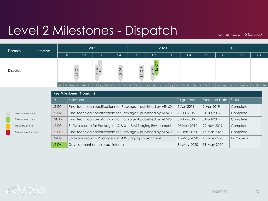### Level 2 Milestones - Dispatch

Current as at 15-05-2020

| Domain   | Initiative |    | 2019                                                                                                                                               |                                              |                | 2020             |                                |                | 2021 |    |                |                |    |
|----------|------------|----|----------------------------------------------------------------------------------------------------------------------------------------------------|----------------------------------------------|----------------|------------------|--------------------------------|----------------|------|----|----------------|----------------|----|
|          |            | Q1 | Q <sub>2</sub>                                                                                                                                     | Q <sub>3</sub>                               | Q <sub>4</sub> | Q1               | Q <sub>2</sub>                 | Q <sub>3</sub> | Q4   | Q1 | Q <sub>2</sub> | Q <sub>3</sub> | Q4 |
| Dispatch |            |    |                                                                                                                                                    | $\sim$<br>$\hat{c}$ $\dot{\gamma}$<br>$\sim$ | $-2 - D3$      | $\overline{D13}$ | <u>55 کا</u><br>$\overline{2}$ |                |      |    |                |                |    |
|          |            |    | Jan Feb Mar Apr May Jun Jul Aug Sept Oct Nov Dec Jan Feb Mar Apr May Jun Jul Aug Sept Oct Nov Dec Jan Feb Mar Apr May Jun Jul Aug Sept Oct Nov Dec |                                              |                |                  |                                |                |      |    |                |                |    |

|                        |          | <b>Key Milestones (Program)</b>                                |                   |                      |             |
|------------------------|----------|----------------------------------------------------------------|-------------------|----------------------|-------------|
|                        | ID       | Milestone                                                      | Target Date       | <b>Expected Date</b> | Status      |
|                        | $L2-D1$  | Final technical specifications for Package 1 published by AEMO | 2-Apr-2019        | 2-Apr-2019           | Complete    |
| Milestone complete     | $L2-D2$  | Final technical specifications for Package 2 published by AEMO | $31 - Jul - 2019$ | 31-Jul-2019          | Complete    |
| Milestone on track     | L2D12    | Final technical specifications for Package 4 published by AEMO | $31 - Jul - 2019$ | $31 - JUI - 2019$    | Complete    |
| Milestone at risk      | $L2-D3$  | Software drop for Packages 1,2 & 3 in 5MS Staging Environment  | 29-Nov-2019       | 29-Nov-2019          | Complete    |
| Milestone not achieved | $L2-D13$ | Final technical specifications for Package 5 published by AEMO | 31-Jan-2020       | 16-Mar-2020          | Complete    |
|                        | $L2-D5$  | Software drop for Package 4 in 5MS Staging Environment         | 15-May-2020       | 15-May-2020          | In Progress |
|                        | $L2-D4$  | Development completed (internal)                               | 31-May-2020       | 31-May-2020          |             |

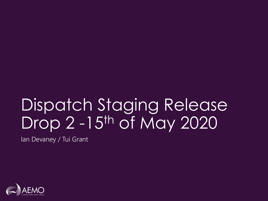# Dispatch Staging Release Drop 2 -15<sup>th</sup> of May 2020

Ian Devaney / Tui Grant

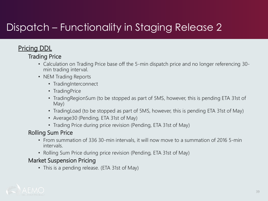### Dispatch – Functionality in Staging Release 2

#### **Pricing DDL**

#### Trading Price

- Calculation on Trading Price base off the 5-min dispatch price and no longer referencing 30 min trading interval.
- NEM Trading Reports
	- TradingInterconnect
	- TradingPrice
	- TradingRegionSum (to be stopped as part of 5MS, however, this is pending ETA 31st of May)
	- Trading Load (to be stopped as part of 5MS, however, this is pending ETA 31st of May)
	- Average30 (Pending, ETA 31st of May)
	- Trading Price during price revision (Pending, ETA 31st of May)

#### Rolling Sum Price

- From summation of 336 30-min intervals, it will now move to a summation of 2016 5-min intervals.
- Rolling Sum Price during price revision (Pending, ETA 31st of May)

#### Market Suspension Pricing

• This is a pending release. (ETA 31st of May)

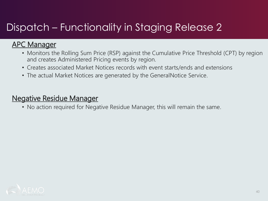### Dispatch – Functionality in Staging Release 2

#### APC Manager

- Monitors the Rolling Sum Price (RSP) against the Cumulative Price Threshold (CPT) by region and creates Administered Pricing events by region.
- Creates associated Market Notices records with event starts/ends and extensions
- The actual Market Notices are generated by the GeneralNotice Service.

#### Negative Residue Manager

• No action required for Negative Residue Manager, this will remain the same.

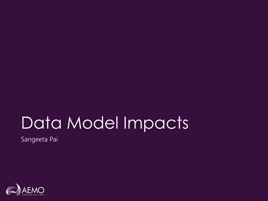# Data Model Impacts

Sangeeta Pai

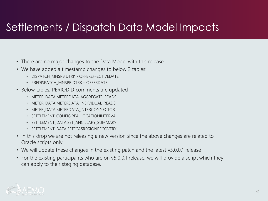### Settlements / Dispatch Data Model Impacts

- There are no major changes to the Data Model with this release.
- We have added a timestamp changes to below 2 tables:
	- DISPATCH\_MNSPBIDTRK OFFEREFFECTIVEDATE
	- PREDISPATCH\_MNSPBIDTRK OFFERDATE
- Below tables, PERIODID comments are updated
	- METER DATA.METERDATA AGGREGATE READS
	- METER DATA.METERDATA INDIVIDUAL READS
	- METER DATA.METERDATA INTERCONNECTOR
	- SETTLEMENT CONFIG.REALLOCATIONINTERVAL
	- SETTLEMENT\_DATA.SET\_ANCILLARY\_SUMMARY
	- SETTLEMENT\_DATA.SETFCASREGIONRECOVERY
- In this drop we are not releasing a new version since the above changes are related to Oracle scripts only
- We will update these changes in the existing patch and the latest v5.0.0.1 release
- For the existing participants who are on v5.0.0.1 release, we will provide a script which they can apply to their staging database.

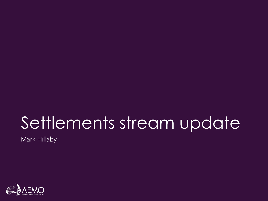# Settlements stream update

Mark Hillaby

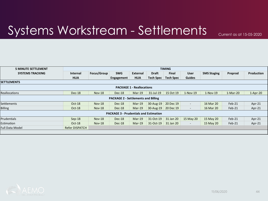### Systems Workstream - Settlements

Current as at 15-05-2020

| <b>5 MINUTE SETTLEMENT</b> |                 |               |                                               |                                  |                  | <b>TIMING</b>    |                          |                    |            |            |
|----------------------------|-----------------|---------------|-----------------------------------------------|----------------------------------|------------------|------------------|--------------------------|--------------------|------------|------------|
| <b>SYSTEMS TRACKING</b>    | <b>Internal</b> | Focus/Group   | <b>SWG</b>                                    | External                         | <b>Draft</b>     | <b>Final</b>     | <b>User</b>              | <b>5MS Staging</b> | Preprod    | Production |
|                            | <b>HLIA</b>     |               | Engagement                                    | <b>HLIA</b>                      | <b>Tech Spec</b> | <b>Tech Spec</b> | <b>Guides</b>            |                    |            |            |
| <b>SETTLEMENTS</b>         |                 |               |                                               |                                  |                  |                  |                          |                    |            |            |
|                            |                 |               |                                               | <b>PACKAGE 1 - Reallocations</b> |                  |                  |                          |                    |            |            |
| <b>Reallocations</b>       | Dec-18          | $Nov-18$      | Dec-18                                        | $Mar-19$                         | $31$ -Jul-19     | 15 Oct 19        | $1-Nov-19$               | $1-Nov-19$         | $1-Mar-20$ | $1-Apr-20$ |
|                            |                 |               | <b>PACKAGE 2 - Settlements and Billing</b>    |                                  |                  |                  |                          |                    |            |            |
| Settlements                | Oct-18          | <b>Nov-18</b> | Dec-18                                        | $Mar-19$                         | 30-Aug-19        | 20 Dec 19        | $\overline{\phantom{0}}$ | 16 Mar 20          | Feb-21     | Apr-21     |
| <b>Billing</b>             | Oct-18          | <b>Nov-18</b> | Dec-18                                        | $Mar-19$                         | 30-Aug-19        | 20 Dec 19        | $\overline{\phantom{a}}$ | 16 Mar 20          | Feb-21     | Apr-21     |
|                            |                 |               | <b>PACKAGE 3 - Prudentials and Estimation</b> |                                  |                  |                  |                          |                    |            |            |
| Prudentials                | $Sep-18$        | <b>Nov-18</b> | Dec-18                                        | $Mar-19$                         | 31-Oct-19        | 31 Jan 20        | 15 May 20                | 15 May 20          | Feb-21     | Apr-21     |
| Estimation                 | Oct-18          | <b>Nov-18</b> | Dec-18                                        | $Mar-19$                         | 31-Oct-19        | 31 Jan 20        | $\overline{\phantom{a}}$ | 15 May 20          | Feb-21     | Apr-21     |
| <b>Full Data Model</b>     | Refer DISPATCH  |               |                                               |                                  |                  |                  |                          |                    |            |            |
|                            |                 |               |                                               |                                  |                  |                  |                          |                    |            |            |



44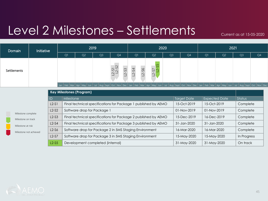### Level 2 Milestones – Settlements

Current as at 15-05-2020

| Initiative<br>Domain   |         |                                 |                                                                                                                                                    | 2019           |                            |                     |                | 2020           |                    | 2021        |                |                |    |
|------------------------|---------|---------------------------------|----------------------------------------------------------------------------------------------------------------------------------------------------|----------------|----------------------------|---------------------|----------------|----------------|--------------------|-------------|----------------|----------------|----|
|                        |         | Q1                              | Q <sub>2</sub>                                                                                                                                     | Q <sub>3</sub> | Q4                         | Q1                  | Q <sub>2</sub> | Q <sub>3</sub> | Q <sub>4</sub>     | Q1          | Q <sub>2</sub> | Q <sub>3</sub> | Q4 |
| <b>Settlements</b>     |         |                                 |                                                                                                                                                    |                | $-51$<br>$-52$<br>$2 - 53$ | $2 - 54$<br>$-2-56$ | $L2-S7$        |                |                    |             |                |                |    |
|                        |         |                                 | Jan Feb Mar Apr May Jun Jul Aug Sept Oct Nov Dec Jan Feb Mar Apr May Jun Jul Aug Sept Oct Nov Dec Jan Feb Mar Apr May Jun Jul Aug Sept Oct Nov Dec |                |                            |                     |                |                |                    |             |                |                |    |
|                        |         | <b>Key Milestones (Program)</b> |                                                                                                                                                    |                |                            |                     |                |                |                    |             |                |                |    |
|                        | ID      | Milestone                       |                                                                                                                                                    |                |                            |                     |                |                | <b>Target Date</b> |             | Expected Date  | Status         |    |
|                        | $L2-S1$ |                                 | Final technical specifications for Package 1 published by AEMO                                                                                     |                |                            |                     |                |                | 15-Oct-2019        | 15-Oct-2019 |                | Complete       |    |
| Milestone complete     | $L2-S2$ |                                 | Software drop for Package 1                                                                                                                        |                |                            |                     |                |                | 01-Nov-2019        | 01-Nov-2019 |                | Complete       |    |
| Milestone on track     | $L2-S3$ |                                 | Final technical specifications for Package 2 published by AEMO                                                                                     |                |                            |                     |                |                | 15-Dec-2019        | 16-Dec-2019 |                | Complete       |    |
| Milestone at risk      | $L2-S4$ |                                 | Final technical specifications for Package 3 published by AEMO                                                                                     |                |                            |                     |                |                | 31-Jan-2020        | 31-Jan-2020 |                | Complete       |    |
| Milestone not achieved | $L2-S6$ |                                 | Software drop for Package 2 in 5MS Staging Environment                                                                                             |                |                            |                     |                |                | 16-Mar-2020        | 16-Mar-2020 |                | Complete       |    |
|                        | $L2-S7$ |                                 | Software drop for Package 3 in 5MS Staging Environment                                                                                             |                |                            |                     |                |                | 15-May-2020        | 15-May-2020 |                | In Progress    |    |
|                        | $L2-S5$ |                                 | Development completed (internal)                                                                                                                   |                |                            |                     |                |                | 31-May-2020        | 31-May-2020 |                | On track       |    |

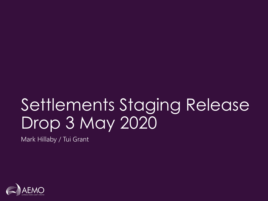# Settlements Staging Release Drop 3 May 2020

Mark Hillaby / Tui Grant

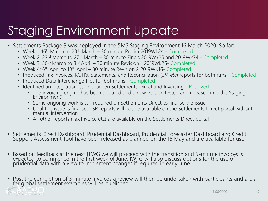### Staging Environment Update

- Settlements Package 3 was deployed in the 5MS Staging Environment 16 March 2020. So far:
	- Week 1: 16<sup>th</sup> March to 20<sup>th</sup> March 30 minute Prelim 2019Wk24 Completed
	- Week 2: 23<sup>rd</sup> March to 27<sup>th</sup> March 30 minute Finals 2019Wk25 and 2019Wk24 Completed
	- Week 3: 30<sup>th</sup> March to 3<sup>rd</sup> April 30 minute Revision 1 2019Wk25- Completed
	- Week 4: 6<sup>th</sup> April to 10<sup>th</sup> April 30 minute Revision 2 2019WK16- Completed
	- Produced Tax Invoices, RCTI's, Statements, and Reconciliation (*SR, etc*) reports for both runs Completed
	- Produced Data Interchange files for both runs Completed
	- Identified an integration issue between Settlements Direct and Invoicing Resolved
		- The invoicing engine has been updated and a new version tested and released into the Staging **Environment**
		- Some ongoing work is still required on Settlements Direct to finalise the issue
		- Until this issue is finalised, SR reports will not be available on the Settlements Direct portal without manual intervention
		- All other reports (Tax Invoice etc) are available on the Settlements Direct portal
- Settlements Direct Dashboard, Prudential Dashboard, Prudential Forecaster Dashboard and Credit Support Assessment Tool have been released as planned on the 15 May and are available for use.
- Based on feedback at the next ITWG we will proceed with the transition and 5-minute invoices is expected to commence in the first week of June. IWTG will also discuss options for the use of prudential data with a view to implement changes if required in early June.
- Post the completion of 5-minute invoices a review will then be undertaken with participants and a plan for global settlement examples will be published.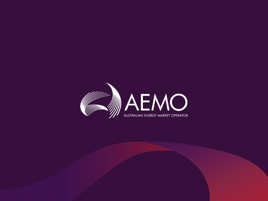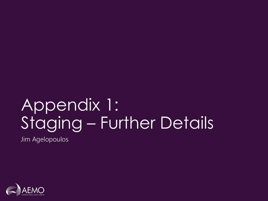# Appendix 1: Staging – Further Details

Jim Agelopoulos

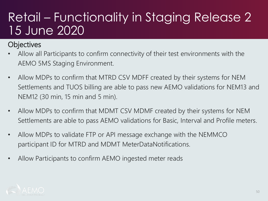### Retail – Functionality in Staging Release 2 15 June 2020

#### **Objectives**

- Allow all Participants to confirm connectivity of their test environments with the AEMO 5MS Staging Environment.
- Allow MDPs to confirm that MTRD CSV MDFF created by their systems for NEM Settlements and TUOS billing are able to pass new AEMO validations for NEM13 and NEM12 (30 min, 15 min and 5 min).
- Allow MDPs to confirm that MDMT CSV MDMF created by their systems for NEM Settlements are able to pass AEMO validations for Basic, Interval and Profile meters.
- Allow MDPs to validate FTP or API message exchange with the NEMMCO participant ID for MTRD and MDMT MeterDataNotifications.
- Allow Participants to confirm AEMO ingested meter reads

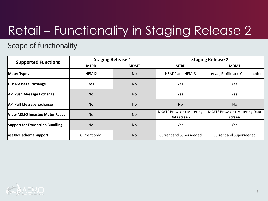### Retail – Functionality in Staging Release 2

#### Scope of functionality

| <b>Supported Functions</b>              |                   | <b>Staging Release 1</b> |                                                   | <b>Staging Release 2</b>                |  |  |  |
|-----------------------------------------|-------------------|--------------------------|---------------------------------------------------|-----------------------------------------|--|--|--|
|                                         | <b>MTRD</b>       | <b>MDMT</b>              | <b>MTRD</b>                                       | <b>MDMT</b>                             |  |  |  |
| Meter Types                             | NEM <sub>12</sub> | <b>No</b>                | NEM12 and NEM13                                   | Interval, Profile and Consumption       |  |  |  |
| <b>FTP Message Exchange</b>             | <b>Yes</b>        | <b>No</b>                | <b>Yes</b>                                        | Yes                                     |  |  |  |
| <b>API Push Message Exchange</b>        | <b>No</b>         | <b>No</b>                | <b>Yes</b>                                        | Yes                                     |  |  |  |
| <b>API Pull Message Exchange</b>        | <b>No</b>         | <b>No</b>                | <b>No</b>                                         | <b>No</b>                               |  |  |  |
| <b>View AEMO Ingested Meter Reads</b>   | <b>No</b>         | <b>No</b>                | <b>MSATS Browser &gt; Metering</b><br>Data screen | MSATS Browser > Metering Data<br>screen |  |  |  |
| <b>Support for Transaction Bundling</b> | <b>No</b>         | <b>No</b>                | <b>Yes</b>                                        | Yes                                     |  |  |  |
| aseXML schema support                   | Current only      | <b>No</b>                | <b>Current and Superseeded</b>                    | <b>Current and Superseeded</b>          |  |  |  |